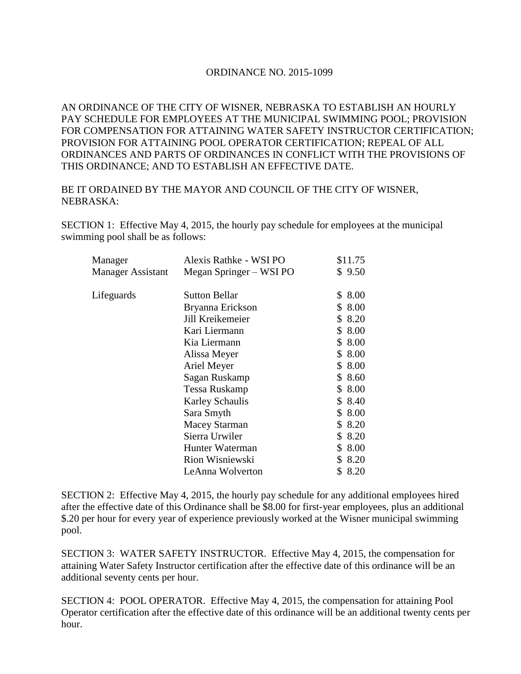## ORDINANCE NO. 2015-1099

AN ORDINANCE OF THE CITY OF WISNER, NEBRASKA TO ESTABLISH AN HOURLY PAY SCHEDULE FOR EMPLOYEES AT THE MUNICIPAL SWIMMING POOL; PROVISION FOR COMPENSATION FOR ATTAINING WATER SAFETY INSTRUCTOR CERTIFICATION; PROVISION FOR ATTAINING POOL OPERATOR CERTIFICATION; REPEAL OF ALL ORDINANCES AND PARTS OF ORDINANCES IN CONFLICT WITH THE PROVISIONS OF THIS ORDINANCE; AND TO ESTABLISH AN EFFECTIVE DATE.

## BE IT ORDAINED BY THE MAYOR AND COUNCIL OF THE CITY OF WISNER, NEBRASKA:

SECTION 1: Effective May 4, 2015, the hourly pay schedule for employees at the municipal swimming pool shall be as follows:

| Manager                  | Alexis Rathke - WSI PO  | \$11.75    |
|--------------------------|-------------------------|------------|
| <b>Manager Assistant</b> | Megan Springer – WSI PO | \$9.50     |
| Lifeguards               | <b>Sutton Bellar</b>    | \$8.00     |
|                          | Bryanna Erickson        | \$8.00     |
|                          | Jill Kreikemeier        | \$8.20     |
|                          | Kari Liermann           | \$8.00     |
|                          | Kia Liermann            | \$8.00     |
|                          | Alissa Meyer            | \$8.00     |
|                          | Ariel Meyer             | \$8.00     |
|                          | Sagan Ruskamp           | \$ 8.60    |
|                          | Tessa Ruskamp           | \$8.00     |
|                          | <b>Karley Schaulis</b>  | \$ 8.40    |
|                          | Sara Smyth              | \$8.00     |
|                          | <b>Macey Starman</b>    | \$ 8.20    |
|                          | Sierra Urwiler          | \$8.20     |
|                          | Hunter Waterman         | \$8.00     |
|                          | Rion Wisniewski         | \$8.20     |
|                          | LeAnna Wolverton        | \$<br>8.20 |
|                          |                         |            |

SECTION 2: Effective May 4, 2015, the hourly pay schedule for any additional employees hired after the effective date of this Ordinance shall be \$8.00 for first-year employees, plus an additional \$.20 per hour for every year of experience previously worked at the Wisner municipal swimming pool.

SECTION 3: WATER SAFETY INSTRUCTOR. Effective May 4, 2015, the compensation for attaining Water Safety Instructor certification after the effective date of this ordinance will be an additional seventy cents per hour.

SECTION 4: POOL OPERATOR. Effective May 4, 2015, the compensation for attaining Pool Operator certification after the effective date of this ordinance will be an additional twenty cents per hour.